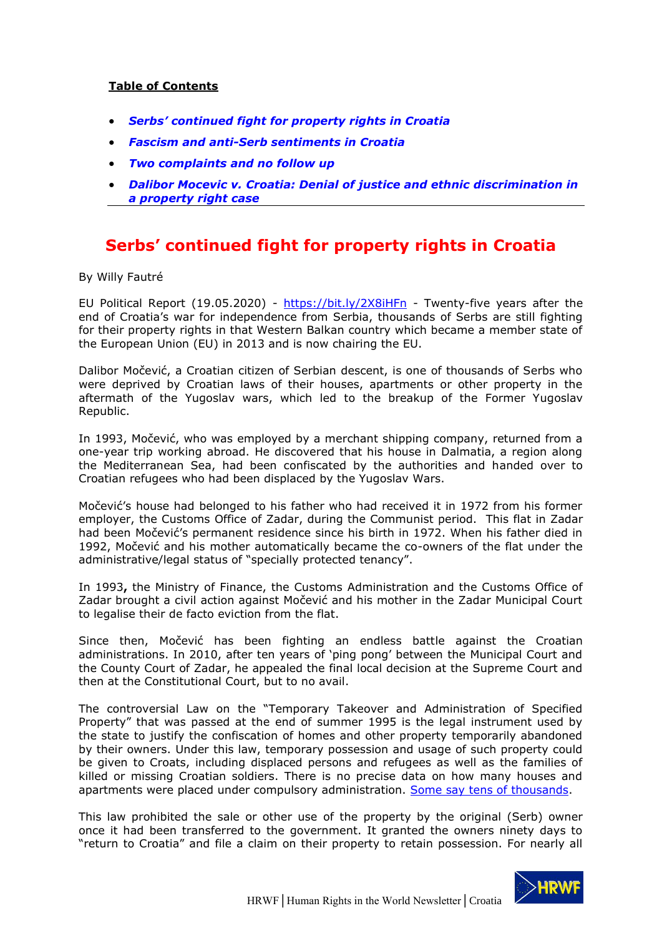### **Table of Contents**

- *[Serbs' continued fight for property rights in Croatia](#page-0-0)*
- *[Fascism and anti-Serb sentiments in Croatia](#page-1-0)*
- *[Two complaints and no follow up](#page-3-0)*
- *[Dalibor Mocevic v. Croatia: Denial of justice and ethnic discrimination in](#page-5-0)  [a property right case](#page-5-0)*

# <span id="page-0-0"></span>**Serbs' continued fight for property rights in Croatia**

By Willy Fautré

EU Political Report (19.05.2020) - <https://bit.ly/2X8iHFn> - Twenty-five years after the end of Croatia's war for independence from Serbia, thousands of Serbs are still fighting for their property rights in that Western Balkan country which became a member state of the European Union (EU) in 2013 and is now chairing the EU.

Dalibor Močević, a Croatian citizen of Serbian descent, is one of thousands of Serbs who were deprived by Croatian laws of their houses, apartments or other property in the aftermath of the Yugoslav wars, which led to the breakup of the Former Yugoslav Republic.

In 1993, Močević, who was employed by a merchant shipping company, returned from a one-year trip working abroad. He discovered that his house in Dalmatia, a region along the Mediterranean Sea, had been confiscated by the authorities and handed over to Croatian refugees who had been displaced by the Yugoslav Wars.

Močević's house had belonged to his father who had received it in 1972 from his former employer, the Customs Office of Zadar, during the Communist period. This flat in Zadar had been Močević's permanent residence since his birth in 1972. When his father died in 1992, Močević and his mother automatically became the co-owners of the flat under the administrative/legal status of "specially protected tenancy".

In 1993**,** the Ministry of Finance, the Customs Administration and the Customs Office of Zadar brought a civil action against Močević and his mother in the Zadar Municipal Court to legalise their de facto eviction from the flat.

Since then, Močević has been fighting an endless battle against the Croatian administrations. In 2010, after ten years of 'ping pong' between the Municipal Court and the County Court of Zadar, he appealed the final local decision at the Supreme Court and then at the Constitutional Court, but to no avail.

The controversial Law on the "Temporary Takeover and Administration of Specified Property" that was passed at the end of summer 1995 is the legal instrument used by the state to justify the confiscation of homes and other property temporarily abandoned by their owners. Under this law, temporary possession and usage of such property could be given to Croats, including displaced persons and refugees as well as the families of killed or missing Croatian soldiers. There is no precise data on how many houses and apartments were placed under compulsory administration. [Some say tens of thousands.](https://www.nytimes.com/1997/05/14/world/croatia-resettling-its-people-in-houses-seized-from-serbs.html)

This law prohibited the sale or other use of the property by the original (Serb) owner once it had been transferred to the government. It granted the owners ninety days to "return to Croatia" and file a claim on their property to retain possession. For nearly all

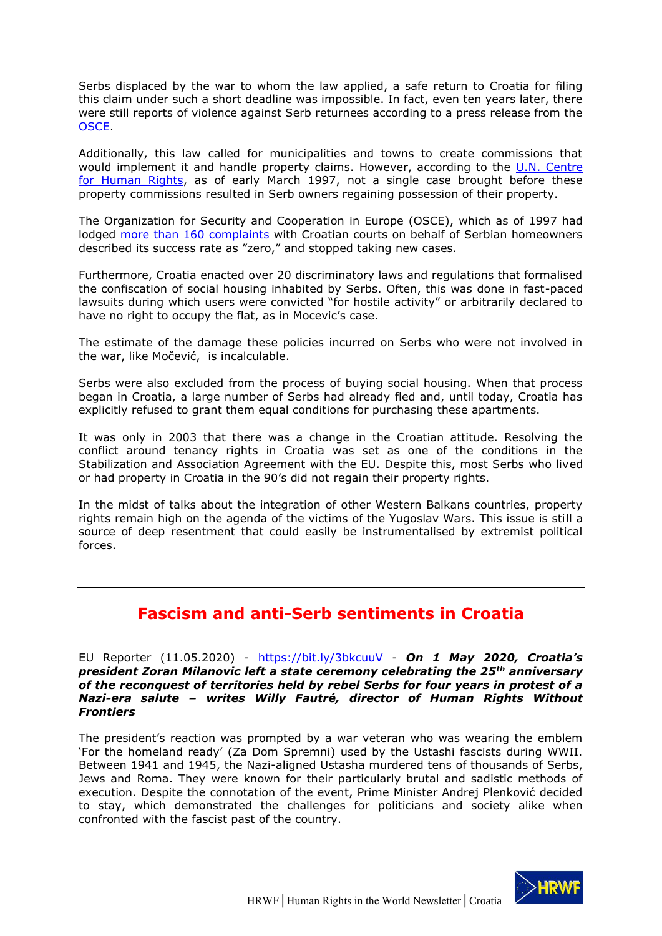Serbs displaced by the war to whom the law applied, a safe return to Croatia for filing this claim under such a short deadline was impossible. In fact, even ten years later, there were still reports of violence against Serb returnees according to a press release from the [OSCE.](https://www.osce.org/zagreb/56330)

Additionally, this law called for municipalities and towns to create commissions that would implement it and handle property claims. However, according to the [U.N. Centre](https://www.hrw.org/reports/1997/croatia/Croatia-03.htm)  [for Human Rights,](https://www.hrw.org/reports/1997/croatia/Croatia-03.htm) as of early March 1997, not a single case brought before these property commissions resulted in Serb owners regaining possession of their property.

The Organization for Security and Cooperation in Europe (OSCE), which as of 1997 had lodged [more than 160 complaints](https://www.nytimes.com/1997/05/14/world/croatia-resettling-its-people-in-houses-seized-from-serbs.html) with Croatian courts on behalf of Serbian homeowners described its success rate as "zero," and stopped taking new cases.

Furthermore, Croatia enacted over 20 discriminatory laws and regulations that formalised the confiscation of social housing inhabited by Serbs. Often, this was done in fast-paced lawsuits during which users were convicted "for hostile activity" or arbitrarily declared to have no right to occupy the flat, as in Mocevic's case.

The estimate of the damage these policies incurred on Serbs who were not involved in the war, like Močević, is incalculable.

Serbs were also excluded from the process of buying social housing. When that process began in Croatia, a large number of Serbs had already fled and, until today, Croatia has explicitly refused to grant them equal conditions for purchasing these apartments.

It was only in 2003 that there was a change in the Croatian attitude. Resolving the conflict around tenancy rights in Croatia was set as one of the conditions in the Stabilization and Association Agreement with the EU. Despite this, most Serbs who lived or had property in Croatia in the 90's did not regain their property rights.

In the midst of talks about the integration of other Western Balkans countries, property rights remain high on the agenda of the victims of the Yugoslav Wars. This issue is still a source of deep resentment that could easily be instrumentalised by extremist political forces.

## <span id="page-1-0"></span>**[Fascism and anti-Serb sentiments in Croatia](https://www.eureporter.co/world/human-rights-category/2020/05/11/fascism-and-anti-serb-sentiments-in-croatia/)**

EU Reporter (11.05.2020) - <https://bit.ly/3bkcuuV> - *On 1 May 2020, Croatia's president Zoran Milanovic left a state ceremony celebrating the 25th anniversary of the reconquest of territories held by rebel Serbs for four years in protest of a Nazi-era salute – writes Willy Fautré, director of Human Rights Without Frontiers*

The president's reaction was prompted by a war veteran who was wearing the emblem 'For the homeland ready' (Za Dom Spremni) used by the Ustashi fascists during WWII. Between 1941 and 1945, the Nazi-aligned Ustasha murdered tens of thousands of Serbs, Jews and Roma. They were known for their particularly brutal and sadistic methods of execution. Despite the connotation of the event, Prime Minister Andrej Plenković decided to stay, which demonstrated the challenges for politicians and society alike when confronted with the fascist past of the country.

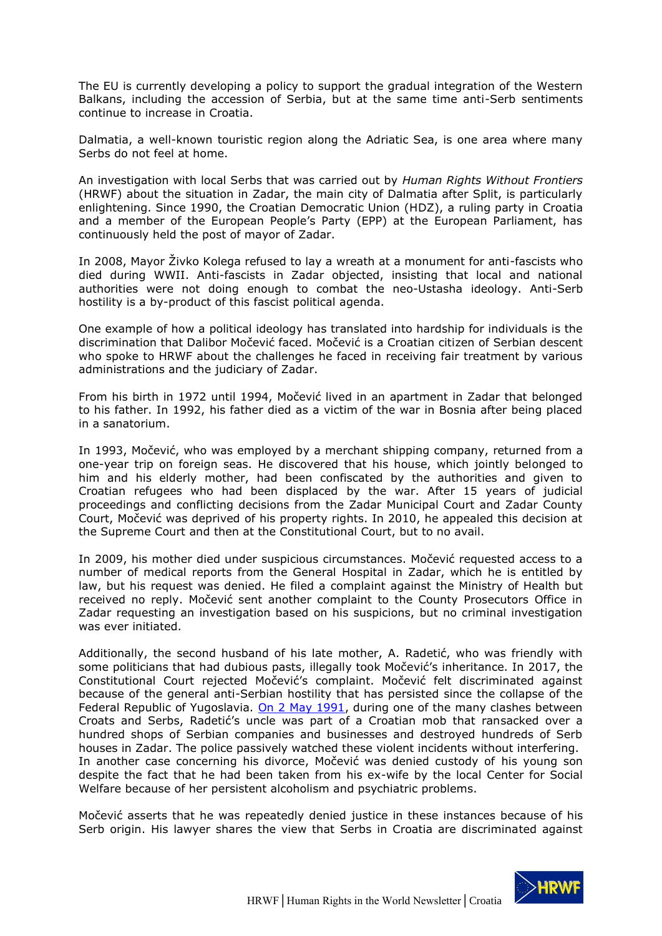The EU is currently developing a policy to support the gradual integration of the Western Balkans, including the accession of Serbia, but at the same time anti-Serb sentiments continue to increase in Croatia.

Dalmatia, a well-known touristic region along the Adriatic Sea, is one area where many Serbs do not feel at home.

An investigation with local Serbs that was carried out by *Human Rights Without Frontiers* (HRWF) about the situation in Zadar, the main city of Dalmatia after Split, is particularly enlightening. Since 1990, the Croatian Democratic Union (HDZ), a ruling party in Croatia and a member of the European People's Party (EPP) at the European Parliament, has continuously held the post of mayor of Zadar.

In 2008, Mayor Živko Kolega refused to lay a wreath at a monument for anti-fascists who died during WWII. Anti-fascists in Zadar objected, insisting that local and national authorities were not doing enough to combat the neo-Ustasha ideology. Anti-Serb hostility is a by-product of this fascist political agenda.

One example of how a political ideology has translated into hardship for individuals is the discrimination that Dalibor Močević faced. Močević is a Croatian citizen of Serbian descent who spoke to HRWF about the challenges he faced in receiving fair treatment by various administrations and the judiciary of Zadar.

From his birth in 1972 until 1994, Močević lived in an apartment in Zadar that belonged to his father. In 1992, his father died as a victim of the war in Bosnia after being placed in a sanatorium.

In 1993, Močević, who was employed by a merchant shipping company, returned from a one-year trip on foreign seas. He discovered that his house, which jointly belonged to him and his elderly mother, had been confiscated by the authorities and given to Croatian refugees who had been displaced by the war. After 15 years of judicial proceedings and conflicting decisions from the Zadar Municipal Court and Zadar County Court, Močević was deprived of his property rights. In 2010, he appealed this decision at the Supreme Court and then at the Constitutional Court, but to no avail.

In 2009, his mother died under suspicious circumstances. Močević requested access to a number of medical reports from the General Hospital in Zadar, which he is entitled by law, but his request was denied. He filed a complaint against the Ministry of Health but received no reply. Močević sent another complaint to the County Prosecutors Office in Zadar requesting an investigation based on his suspicions, but no criminal investigation was ever initiated.

Additionally, the second husband of his late mother, A. Radetić, who was friendly with some politicians that had dubious pasts, illegally took Močević's inheritance. In 2017, the Constitutional Court rejected Močević's complaint. Močević felt discriminated against because of the general anti-Serbian hostility that has persisted since the collapse of the Federal Republic of Yugoslavia. [On 2 May 1991,](https://books.google.be/books?id=9Fjt6bYgEFMC&pg=PA1116&lpg=PA1116&dq=Zadar+2+May+1991&source=bl&ots=Nqhggm-Ihs&sig=ACfU3U0_HlIsHu3s-Z2w4Q6PQBWb247dJw&hl=en&sa=X&ved=2ahUKEwiHutbL15fpAhVLjqQKHav2B2MQ6AEwDHoECCUQAQ#v=onepage&q=Zadar%202%20May%201991&f=false) during one of the many clashes between Croats and Serbs, Radetić's uncle was part of a Croatian mob that ransacked over a hundred shops of Serbian companies and businesses and destroyed hundreds of Serb houses in Zadar. The police passively watched these violent incidents without interfering. In another case concerning his divorce, Močević was denied custody of his young son despite the fact that he had been taken from his ex-wife by the local Center for Social Welfare because of her persistent alcoholism and psychiatric problems.

Močević asserts that he was repeatedly denied justice in these instances because of his Serb origin. His lawyer shares the view that Serbs in Croatia are discriminated against

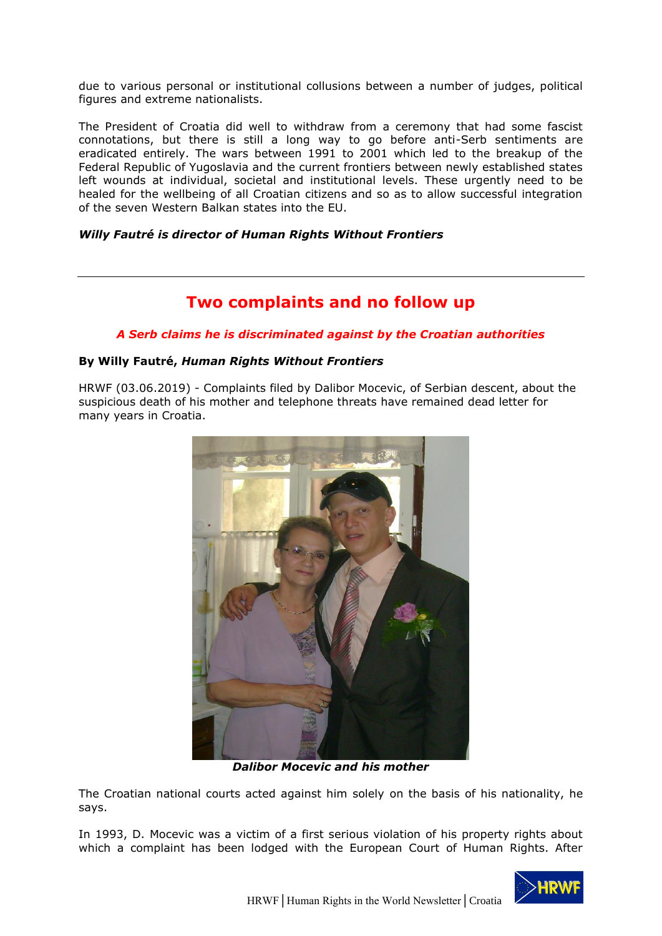due to various personal or institutional collusions between a number of judges, political figures and extreme nationalists.

The President of Croatia did well to withdraw from a ceremony that had some fascist connotations, but there is still a long way to go before anti-Serb sentiments are eradicated entirely. The wars between 1991 to 2001 which led to the breakup of the Federal Republic of Yugoslavia and the current frontiers between newly established states left wounds at individual, societal and institutional levels. These urgently need to be healed for the wellbeing of all Croatian citizens and so as to allow successful integration of the seven Western Balkan states into the EU.

#### *Willy Fautré is director of Human Rights Without Frontiers*

### **Two complaints and no follow up**

#### <span id="page-3-0"></span>*A Serb claims he is discriminated against by the Croatian authorities*

#### **By Willy Fautré,** *Human Rights Without Frontiers*

HRWF (03.06.2019) - Complaints filed by Dalibor Mocevic, of Serbian descent, about the suspicious death of his mother and telephone threats have remained dead letter for many years in Croatia.



*Dalibor Mocevic and his mother*

The Croatian national courts acted against him solely on the basis of his nationality, he says.

In 1993, D. Mocevic was a victim of a first serious violation of his property rights about which a complaint has been lodged with the European Court of Human Rights. After

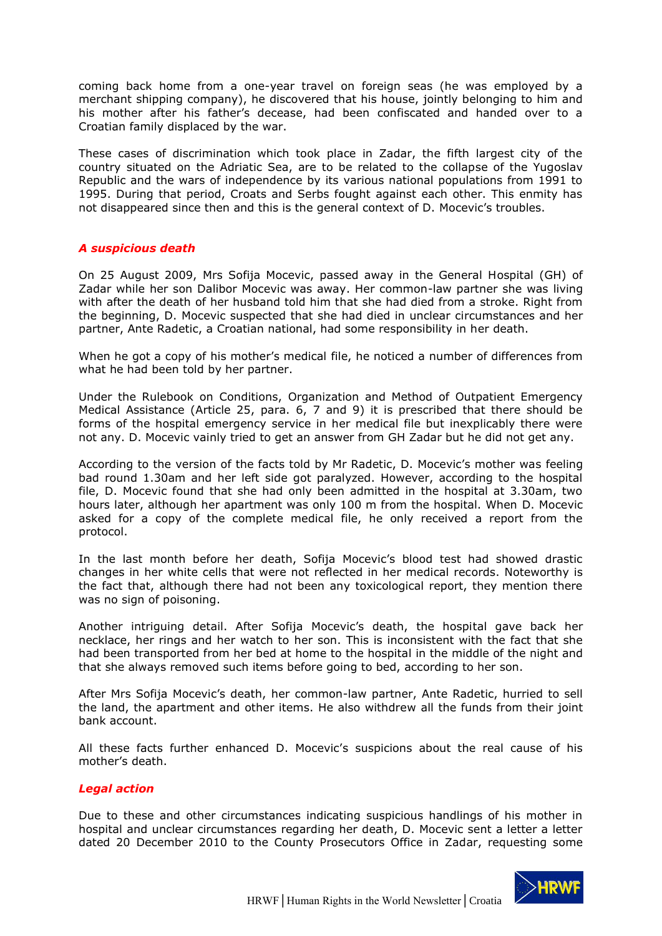coming back home from a one-year travel on foreign seas (he was employed by a merchant shipping company), he discovered that his house, jointly belonging to him and his mother after his father's decease, had been confiscated and handed over to a Croatian family displaced by the war.

These cases of discrimination which took place in Zadar, the fifth largest city of the country situated on the Adriatic Sea, are to be related to the collapse of the Yugoslav Republic and the wars of independence by its various national populations from 1991 to 1995. During that period, Croats and Serbs fought against each other. This enmity has not disappeared since then and this is the general context of D. Mocevic's troubles.

#### *A suspicious death*

On 25 August 2009, Mrs Sofija Mocevic, passed away in the General Hospital (GH) of Zadar while her son Dalibor Mocevic was away. Her common-law partner she was living with after the death of her husband told him that she had died from a stroke. Right from the beginning, D. Mocevic suspected that she had died in unclear circumstances and her partner, Ante Radetic, a Croatian national, had some responsibility in her death.

When he got a copy of his mother's medical file, he noticed a number of differences from what he had been told by her partner.

Under the Rulebook on Conditions, Organization and Method of Outpatient Emergency Medical Assistance (Article 25, para. 6, 7 and 9) it is prescribed that there should be forms of the hospital emergency service in her medical file but inexplicably there were not any. D. Mocevic vainly tried to get an answer from GH Zadar but he did not get any.

According to the version of the facts told by Mr Radetic, D. Mocevic's mother was feeling bad round 1.30am and her left side got paralyzed. However, according to the hospital file, D. Mocevic found that she had only been admitted in the hospital at 3.30am, two hours later, although her apartment was only 100 m from the hospital. When D. Mocevic asked for a copy of the complete medical file, he only received a report from the protocol.

In the last month before her death, Sofija Mocevic's blood test had showed drastic changes in her white cells that were not reflected in her medical records. Noteworthy is the fact that, although there had not been any toxicological report, they mention there was no sign of poisoning.

Another intriguing detail. After Sofija Mocevic's death, the hospital gave back her necklace, her rings and her watch to her son. This is inconsistent with the fact that she had been transported from her bed at home to the hospital in the middle of the night and that she always removed such items before going to bed, according to her son.

After Mrs Sofija Mocevic's death, her common-law partner, Ante Radetic, hurried to sell the land, the apartment and other items. He also withdrew all the funds from their joint bank account.

All these facts further enhanced D. Mocevic's suspicions about the real cause of his mother's death.

#### *Legal action*

Due to these and other circumstances indicating suspicious handlings of his mother in hospital and unclear circumstances regarding her death, D. Mocevic sent a letter a letter dated 20 December 2010 to the County Prosecutors Office in Zadar, requesting some

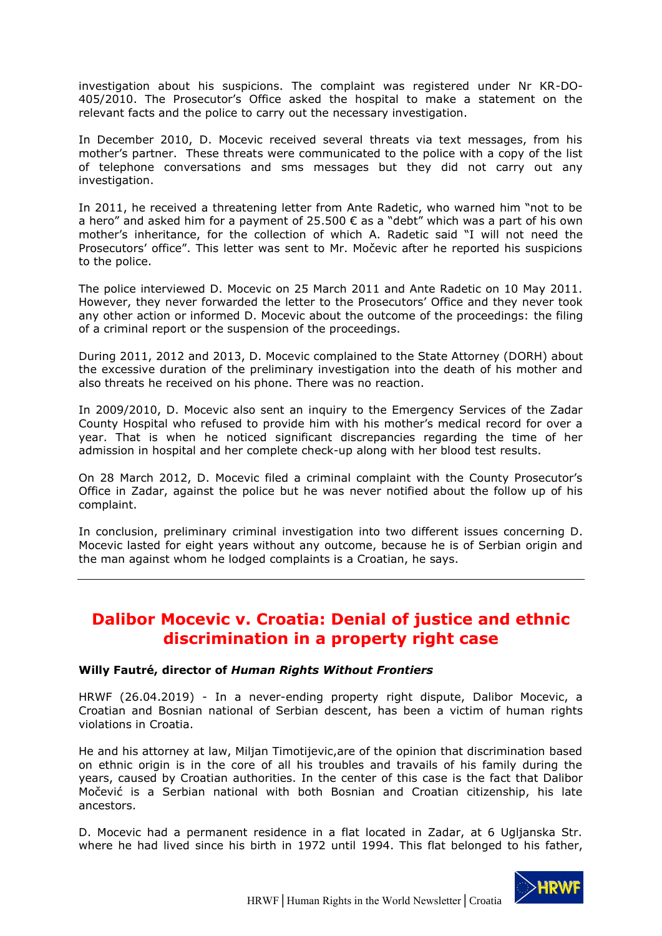investigation about his suspicions. The complaint was registered under Nr KR-DO-405/2010. The Prosecutor's Office asked the hospital to make a statement on the relevant facts and the police to carry out the necessary investigation.

In December 2010, D. Mocevic received several threats via text messages, from his mother's partner. These threats were communicated to the police with a copy of the list of telephone conversations and sms messages but they did not carry out any investigation.

In 2011, he received a threatening letter from Ante Radetic, who warned him "not to be a hero" and asked him for a payment of 25.500  $\epsilon$  as a "debt" which was a part of his own mother's inheritance, for the collection of which A. Radetic said "I will not need the Prosecutors' office". This letter was sent to Mr. Močevic after he reported his suspicions to the police.

The police interviewed D. Mocevic on 25 March 2011 and Ante Radetic on 10 May 2011. However, they never forwarded the letter to the Prosecutors' Office and they never took any other action or informed D. Mocevic about the outcome of the proceedings: the filing of a criminal report or the suspension of the proceedings.

During 2011, 2012 and 2013, D. Mocevic complained to the State Attorney (DORH) about the excessive duration of the preliminary investigation into the death of his mother and also threats he received on his phone. There was no reaction.

In 2009/2010, D. Mocevic also sent an inquiry to the Emergency Services of the Zadar County Hospital who refused to provide him with his mother's medical record for over a year. That is when he noticed significant discrepancies regarding the time of her admission in hospital and her complete check-up along with her blood test results.

On 28 March 2012, D. Mocevic filed a criminal complaint with the County Prosecutor's Office in Zadar, against the police but he was never notified about the follow up of his complaint.

In conclusion, preliminary criminal investigation into two different issues concerning D. Mocevic lasted for eight years without any outcome, because he is of Serbian origin and the man against whom he lodged complaints is a Croatian, he says.

### <span id="page-5-0"></span>**Dalibor Mocevic v. Croatia: Denial of justice and ethnic discrimination in a property right case**

#### **Willy Fautré, director of** *Human Rights Without Frontiers*

HRWF (26.04.2019) - In a never-ending property right dispute, Dalibor Mocevic, a Croatian and Bosnian national of Serbian descent, has been a victim of human rights violations in Croatia.

He and his attorney at law, Miljan Timotijevic,are of the opinion that discrimination based on ethnic origin is in the core of all his troubles and travails of his family during the years, caused by Croatian authorities. In the center of this case is the fact that Dalibor Močević is a Serbian national with both Bosnian and Croatian citizenship, his late ancestors.

D. Mocevic had a permanent residence in a flat located in Zadar, at 6 Ugljanska Str. where he had lived since his birth in 1972 until 1994. This flat belonged to his father,

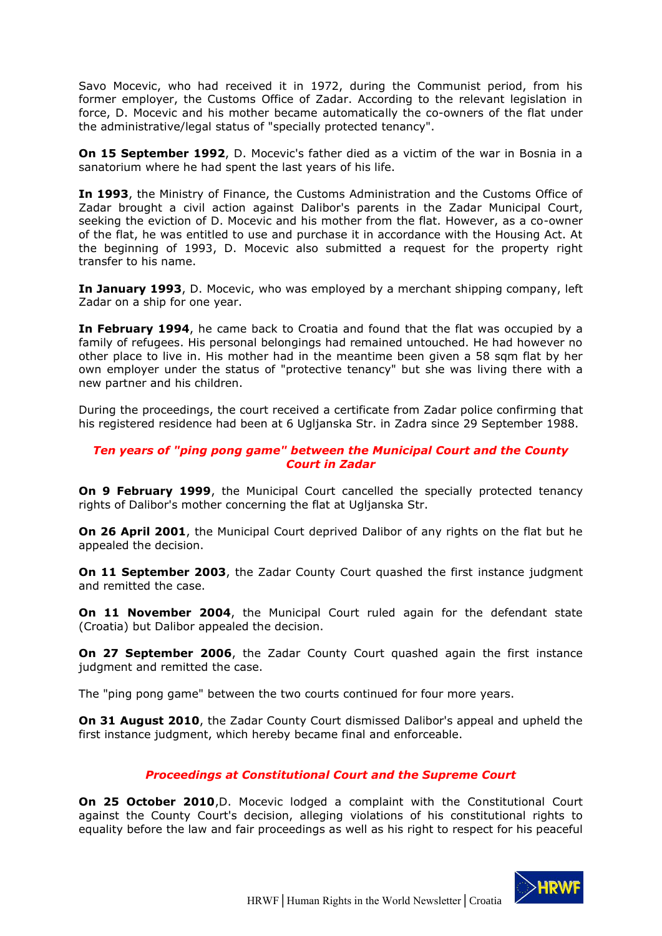Savo Mocevic, who had received it in 1972, during the Communist period, from his former employer, the Customs Office of Zadar. According to the relevant legislation in force, D. Mocevic and his mother became automatically the co-owners of the flat under the administrative/legal status of "specially protected tenancy".

**On 15 September 1992**, D. Mocevic's father died as a victim of the war in Bosnia in a sanatorium where he had spent the last years of his life.

**In 1993**, the Ministry of Finance, the Customs Administration and the Customs Office of Zadar brought a civil action against Dalibor's parents in the Zadar Municipal Court, seeking the eviction of D. Mocevic and his mother from the flat. However, as a co-owner of the flat, he was entitled to use and purchase it in accordance with the Housing Act. At the beginning of 1993, D. Mocevic also submitted a request for the property right transfer to his name.

**In January 1993**, D. Mocevic, who was employed by a merchant shipping company, left Zadar on a ship for one year.

**In February 1994**, he came back to Croatia and found that the flat was occupied by a family of refugees. His personal belongings had remained untouched. He had however no other place to live in. His mother had in the meantime been given a 58 sqm flat by her own employer under the status of "protective tenancy" but she was living there with a new partner and his children.

During the proceedings, the court received a certificate from Zadar police confirming that his registered residence had been at 6 Ugljanska Str. in Zadra since 29 September 1988.

#### *Ten years of "ping pong game" between the Municipal Court and the County Court in Zadar*

**On 9 February 1999**, the Municipal Court cancelled the specially protected tenancy rights of Dalibor's mother concerning the flat at Ugljanska Str.

**On 26 April 2001**, the Municipal Court deprived Dalibor of any rights on the flat but he appealed the decision.

**On 11 September 2003**, the Zadar County Court quashed the first instance judgment and remitted the case.

**On 11 November 2004**, the Municipal Court ruled again for the defendant state (Croatia) but Dalibor appealed the decision.

**On 27 September 2006**, the Zadar County Court quashed again the first instance judgment and remitted the case.

The "ping pong game" between the two courts continued for four more years.

**On 31 August 2010**, the Zadar County Court dismissed Dalibor's appeal and upheld the first instance judgment, which hereby became final and enforceable.

#### *Proceedings at Constitutional Court and the Supreme Court*

**On 25 October 2010**, D. Mocevic lodged a complaint with the Constitutional Court against the County Court's decision, alleging violations of his constitutional rights to equality before the law and fair proceedings as well as his right to respect for his peaceful